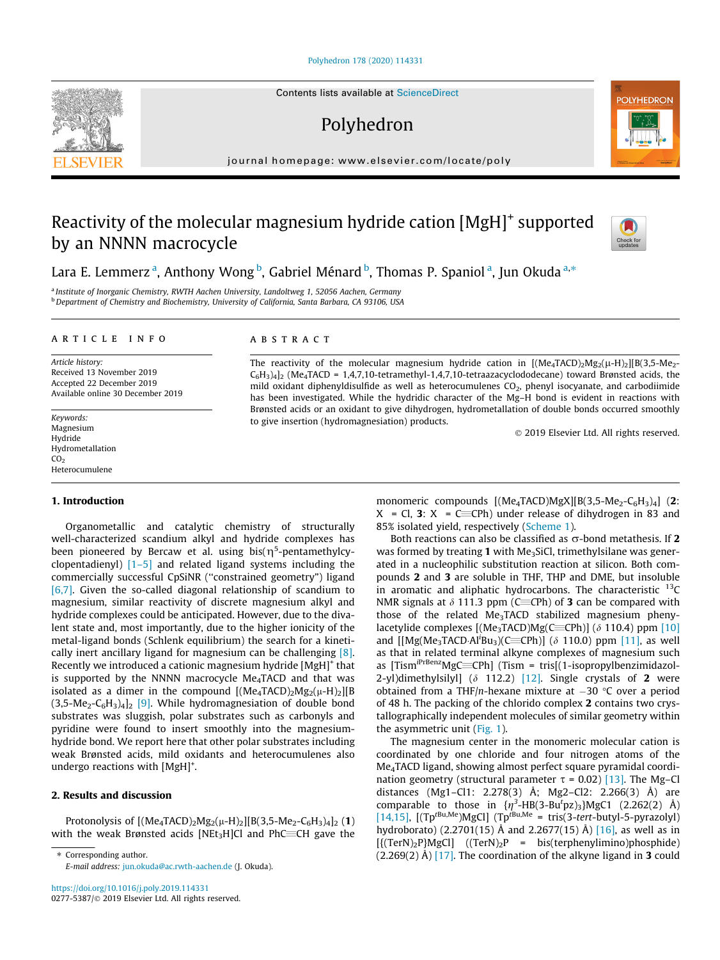### [Polyhedron 178 \(2020\) 114331](https://doi.org/10.1016/j.poly.2019.114331)

# Polyhedron

journal homepage: [www.elsevier.com/locate/poly](http://www.elsevier.com/locate/poly)

# Reactivity of the molecular magnesium hydride cation [MgH]<sup>+</sup> supported by an NNNN macrocycle



**POLYHEDRON** 

Lara E. Lemmerz <sup>a</sup>, Anthony Wong <sup>b</sup>, Gabriel Ménard <sup>b</sup>, Thomas P. Spaniol <sup>a</sup>, Jun Okuda <sup>a,</sup>\*

<sup>a</sup> Institute of Inorganic Chemistry, RWTH Aachen University, Landoltweg 1, 52056 Aachen, Germany <sup>b</sup> Department of Chemistry and Biochemistry, University of California, Santa Barbara, CA 93106, USA

#### article info

Article history: Received 13 November 2019 Accepted 22 December 2019 Available online 30 December 2019

Keywords: Magnesium Hydride Hydrometallation  $CO<sub>2</sub>$ Heterocumulene

#### 1. Introduction

Organometallic and catalytic chemistry of structurally well-characterized scandium alkyl and hydride complexes has been pioneered by Bercaw et al. using bis( $\eta^5$ -pentamethylcyclopentadienyl) [\[1–5\]](#page-5-0) and related ligand systems including the commercially successful CpSiNR (''constrained geometry") ligand [\[6,7\].](#page-5-0) Given the so-called diagonal relationship of scandium to magnesium, similar reactivity of discrete magnesium alkyl and hydride complexes could be anticipated. However, due to the divalent state and, most importantly, due to the higher ionicity of the metal-ligand bonds (Schlenk equilibrium) the search for a kinetically inert ancillary ligand for magnesium can be challenging [\[8\].](#page-5-0) Recently we introduced a cationic magnesium hydride [MgH]+ that is supported by the NNNN macrocycle  $Me<sub>4</sub>TACD$  and that was isolated as a dimer in the compound  $[(Me<sub>4</sub>TACD)<sub>2</sub>Mg<sub>2</sub>(\mu-H)<sub>2</sub>][B]$  $(3,5-Me<sub>2</sub>-C<sub>6</sub>H<sub>3</sub>)<sub>4</sub>$  [\[9\]](#page-5-0). While hydromagnesiation of double bond substrates was sluggish, polar substrates such as carbonyls and pyridine were found to insert smoothly into the magnesiumhydride bond. We report here that other polar substrates including weak Brønsted acids, mild oxidants and heterocumulenes also undergo reactions with [MgH]<sup>+</sup>.

## 2. Results and discussion

Protonolysis of  $[(Me<sub>4</sub>TACD)<sub>2</sub>Mg<sub>2</sub>(\mu-H)<sub>2</sub>][B(3,5-Me<sub>2</sub>-C<sub>6</sub>H<sub>3</sub>)<sub>4</sub>]<sub>2</sub>(1)$ with the weak Brønsted acids [NEt<sub>3</sub>H]Cl and PhC $\equiv$ CH gave the

⇑ Corresponding author. E-mail address: [jun.okuda@ac.rwth-aachen.de](mailto:jun.okuda@ac.rwth-aachen.de) (J. Okuda).

## ABSTRACT

The reactivity of the molecular magnesium hydride cation in  $[(Me<sub>4</sub>TACD)<sub>2</sub>Mg<sub>2</sub>(\mu-H)<sub>2</sub>][B(3,5-Me<sub>2</sub>-Me<sub>2</sub>]$  $C_6H_3$ )<sub>4</sub>]<sub>2</sub> (Me<sub>4</sub>TACD = 1,4,7,10-tetramethyl-1,4,7,10-tetraazacyclododecane) toward Brønsted acids, the mild oxidant diphenyldisulfide as well as heterocumulenes CO<sub>2</sub>, phenyl isocyanate, and carbodiimide has been investigated. While the hydridic character of the Mg–H bond is evident in reactions with Brønsted acids or an oxidant to give dihydrogen, hydrometallation of double bonds occurred smoothly to give insertion (hydromagnesiation) products.

2019 Elsevier Ltd. All rights reserved.

monomeric compounds  $[(Me<sub>4</sub>TACD)MgX][B(3,5-Me<sub>2</sub>-C<sub>6</sub>H<sub>3</sub>)<sub>4</sub>]$  (2:  $X = Cl$ , 3:  $X = C \equiv CPh$ ) under release of dihydrogen in 83 and 85% isolated yield, respectively [\(Scheme 1\)](#page-1-0).

Both reactions can also be classified as  $\sigma$ -bond metathesis. If 2 was formed by treating 1 with Me<sub>3</sub>SiCl, trimethylsilane was generated in a nucleophilic substitution reaction at silicon. Both compounds 2 and 3 are soluble in THF, THP and DME, but insoluble in aromatic and aliphatic hydrocarbons. The characteristic  $^{13}$ C NMR signals at  $\delta$  111.3 ppm (C=CPh) of **3** can be compared with those of the related Me<sub>3</sub>TACD stabilized magnesium phenylacetylide complexes  $[(Me<sub>3</sub>TACD)Mg(C=Ch)]$  ( $\delta$  110.4) ppm [\[10\]](#page-5-0) and  $[[Mg(Me_3TACD·Al<sup>i</sup>Bu<sub>3</sub>)(C=Ch)]$  ( $\delta$  110.0) ppm [\[11\]](#page-5-0), as well as that in related terminal alkyne complexes of magnesium such as  $[Tism<sup>iPrBenz</sup>MgC=CPh]$  (Tism = tris $[(1-isopropvIbenzimidazol-$ 2-yl)dimethylsilyl] ( $\delta$  112.2) [\[12\]](#page-5-0). Single crystals of 2 were obtained from a THF/n-hexane mixture at  $-30$  °C over a period of 48 h. The packing of the chlorido complex 2 contains two crystallographically independent molecules of similar geometry within the asymmetric unit ([Fig. 1](#page-1-0)).

The magnesium center in the monomeric molecular cation is coordinated by one chloride and four nitrogen atoms of the Me4TACD ligand, showing almost perfect square pyramidal coordination geometry (structural parameter  $\tau$  = 0.02) [\[13\]](#page-5-0). The Mg–Cl distances (Mg1–Cl1: 2.278(3) Å; Mg2–Cl2: 2.266(3) Å) are comparable to those in  $\{\eta^3-HB(3-Bu^tpz)_3\}MgC1$  (2.262(2) Å) [\[14,15\]](#page-5-0),  $[(Tp^{tBu,Me})MgCl]$   $(Tp^{tBu,Me} = tris(3-tert-butyl-5-pyrazolyl)$ hydroborato) (2.2701(15) Å and 2.2677(15) Å) [\[16\],](#page-5-0) as well as in  $[{({\text{TerN}})_2P}MgCl]$   $({\text{TerN}})_2P$  = bis(terphenylimino)phosphide)  $(2.269(2)$  Å) [\[17\]](#page-5-0). The coordination of the alkyne ligand in 3 could

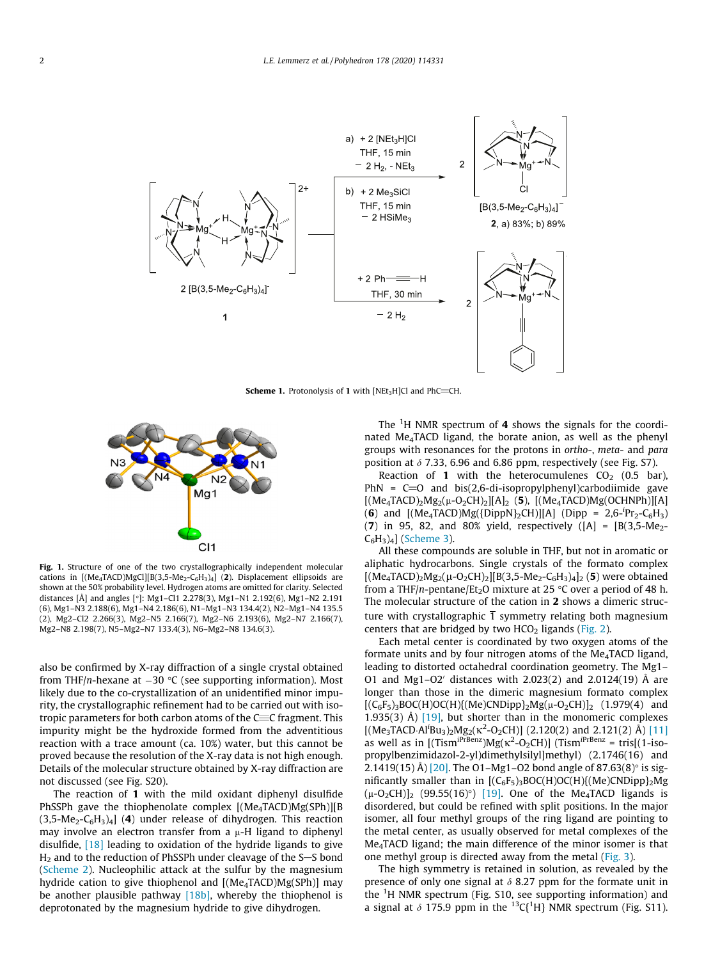<span id="page-1-0"></span>

**Scheme 1.** Protonolysis of 1 with [NEt<sub>3</sub>H]Cl and PhC=CH.



Fig. 1. Structure of one of the two crystallographically independent molecular cations in  $[(Me<sub>4</sub>TACD)MgCl][B(3,5-Me<sub>2</sub>-C<sub>6</sub>H<sub>3</sub>)<sub>4</sub>]$  (2). Displacement ellipsoids are shown at the 50% probability level. Hydrogen atoms are omitted for clarity. Selected distances [Å] and angles [°]: Mg1-Cl1 2.278(3), Mg1-N1 2.192(6), Mg1-N2 2.191 (6), Mg1–N3 2.188(6), Mg1–N4 2.186(6), N1–Mg1–N3 134.4(2), N2–Mg1–N4 135.5 (2), Mg2–Cl2 2.266(3), Mg2–N5 2.166(7), Mg2–N6 2.193(6), Mg2–N7 2.166(7), Mg2–N8 2.198(7), N5–Mg2–N7 133.4(3), N6–Mg2–N8 134.6(3).

also be confirmed by X-ray diffraction of a single crystal obtained from THF/n-hexane at  $-30$  °C (see supporting information). Most likely due to the co-crystallization of an unidentified minor impurity, the crystallographic refinement had to be carried out with isotropic parameters for both carbon atoms of the  $C=C$  fragment. This impurity might be the hydroxide formed from the adventitious reaction with a trace amount (ca. 10%) water, but this cannot be proved because the resolution of the X-ray data is not high enough. Details of the molecular structure obtained by X-ray diffraction are not discussed (see Fig. S20).

The reaction of 1 with the mild oxidant diphenyl disulfide PhSSPh gave the thiophenolate complex  $[(Me<sub>4</sub>TACD)Mg(SPh)][B]$  $(3,5-Me<sub>2</sub>-C<sub>6</sub>H<sub>3</sub>)<sub>4</sub>$  (4) under release of dihydrogen. This reaction may involve an electron transfer from a  $\mu$ -H ligand to diphenyl disulfide, [\[18\]](#page-5-0) leading to oxidation of the hydride ligands to give  $H<sub>2</sub>$  and to the reduction of PhSSPh under cleavage of the S-S bond ([Scheme 2](#page-2-0)). Nucleophilic attack at the sulfur by the magnesium hydride cation to give thiophenol and [(Me<sub>4</sub>TACD)Mg(SPh)] may be another plausible pathway [18b], whereby the thiophenol is deprotonated by the magnesium hydride to give dihydrogen.

The  $1H$  NMR spectrum of 4 shows the signals for the coordinated Me<sub>4</sub>TACD ligand, the borate anion, as well as the phenyl groups with resonances for the protons in ortho-, meta- and para position at  $\delta$  7.33, 6.96 and 6.86 ppm, respectively (see Fig. S7).

Reaction of 1 with the heterocumulenes  $CO<sub>2</sub>$  (0.5 bar), PhN =  $C=0$  and bis(2,6-di-isopropylphenyl)carbodiimide gave  $[(Me<sub>4</sub>TACD)<sub>2</sub>Mg<sub>2</sub>( $\mu$ -O<sub>2</sub>CH)<sub>2</sub>][A]<sub>2</sub> (5), [(Me<sub>4</sub>TACD)Mg(OCHNPh)][A]$ (6) and  $[(Me<sub>4</sub>TACD)Mg({DippN}<sub>2</sub>CH)][A]$  (Dipp = 2,6-<sup>i</sup>Pr<sub>2</sub>-C<sub>6</sub>H<sub>3</sub>) (7) in 95, 82, and 80% yield, respectively ([A] = [B(3,5-Me2-  $C_6H_3)_4$  ([Scheme 3](#page-2-0)).

All these compounds are soluble in THF, but not in aromatic or aliphatic hydrocarbons. Single crystals of the formato complex  $[(Me<sub>4</sub>TACD)<sub>2</sub>Mg<sub>2</sub>(\mu-O<sub>2</sub>CH)<sub>2</sub>][B(3,5-Me<sub>2</sub>-C<sub>6</sub>H<sub>3</sub>)<sub>4</sub>]<sub>2</sub>(5)$  were obtained from a THF/n-pentane/Et<sub>2</sub>O mixture at 25 °C over a period of 48 h. The molecular structure of the cation in 2 shows a dimeric structure with crystallographic  $\overline{1}$  symmetry relating both magnesium centers that are bridged by two  $HCO<sub>2</sub>$  ligands ([Fig. 2](#page-3-0)).

Each metal center is coordinated by two oxygen atoms of the formate units and by four nitrogen atoms of the Me<sub>4</sub>TACD ligand, leading to distorted octahedral coordination geometry. The Mg1– O1 and Mg1–O2' distances with 2.023(2) and 2.0124(19)  $\AA$  are longer than those in the dimeric magnesium formato complex  $[(C_6F_5)_3BOC(H)OC(H)]$  $[(Me)CDDipp]_2Mg(\mu-O_2CH)]_2$  (1.979(4) and 1.935(3) Å)  $[19]$ , but shorter than in the monomeric complexes  $[(Me<sub>3</sub>TACD·Al<sup>1</sup>Bu<sub>3</sub>)<sub>2</sub>Mg<sub>2</sub>(\kappa<sup>2</sup>-O<sub>2</sub>CH)] (2.120(2) and 2.121(2) Å) [11]$  $[(Me<sub>3</sub>TACD·Al<sup>1</sup>Bu<sub>3</sub>)<sub>2</sub>Mg<sub>2</sub>(\kappa<sup>2</sup>-O<sub>2</sub>CH)] (2.120(2) and 2.121(2) Å) [11]$ as well as in  $[(Tism^{iPrBenz})Mg(\kappa^2-O_2CH)]$  (Tism<sup> $iPrBenz$ </sup> = tris[(1-isopropylbenzimidazol-2-yl)dimethylsilyl]methyl) (2.1746(16) and 2.1419(15) Å) [\[20\].](#page-5-0) The O1–Mg1–O2 bond angle of 87.63(8)° is significantly smaller than in  $[(C_6F_5)_3BOC(H)OC(H)]$ (Me)CNDipp}<sub>2</sub>Mg  $(\mu$ -O<sub>2</sub>CH)]<sub>2</sub> (99.55(16)<sup>o</sup>) [\[19\].](#page-5-0) One of the Me<sub>4</sub>TACD ligands is disordered, but could be refined with split positions. In the major isomer, all four methyl groups of the ring ligand are pointing to the metal center, as usually observed for metal complexes of the Me4TACD ligand; the main difference of the minor isomer is that one methyl group is directed away from the metal ([Fig. 3\)](#page-3-0).

The high symmetry is retained in solution, as revealed by the presence of only one signal at  $\delta$  8.27 ppm for the formate unit in the  ${}^{1}$ H NMR spectrum (Fig. S10, see supporting information) and a signal at  $\delta$  175.9 ppm in the <sup>13</sup>C{<sup>1</sup>H} NMR spectrum (Fig. S11).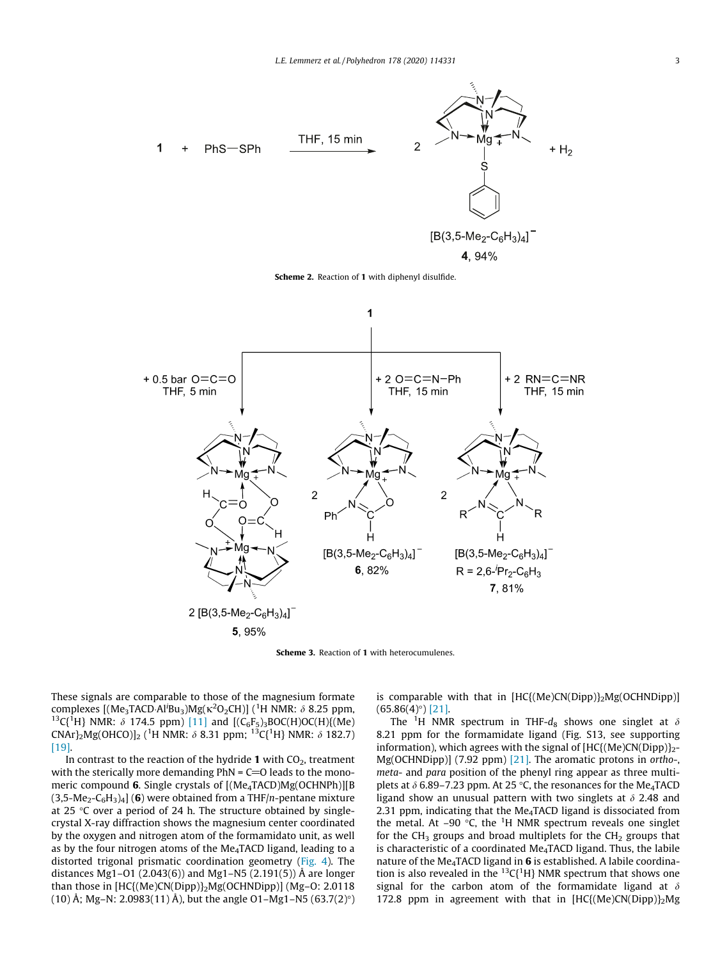<span id="page-2-0"></span>

Scheme 2. Reaction of 1 with diphenyl disulfide.



Scheme 3. Reaction of 1 with heterocumulenes.

These signals are comparable to those of the magnesium formate complexes [(Me<sub>3</sub>TACD Al<sup>i</sup>Bu<sub>3</sub>)Mg( $\kappa$ <sup>2</sup>O<sub>2</sub>CH)] (<sup>1</sup>H NMR:  $\delta$  8.25 ppm, <sup>13</sup>C{<sup>1</sup>H} NMR:  $\delta$  174.5 ppm) [\[11\]](#page-5-0) and [(C<sub>6</sub>F<sub>5</sub>)<sub>3</sub>BOC(H)OC(H){(Me) CNAr}<sub>2</sub>Mg(OHCO)]<sub>2</sub> (<sup>1</sup>H NMR:  $\delta$  8.31 ppm; <sup>13</sup>C{<sup>1</sup>H} NMR:  $\delta$  182.7) [\[19\].](#page-5-0)

In contrast to the reaction of the hydride 1 with  $CO<sub>2</sub>$ , treatment with the sterically more demanding  $PhN = C = 0$  leads to the monomeric compound 6. Single crystals of [(Me<sub>4</sub>TACD)Mg(OCHNPh)][B  $(3,5-Me<sub>2</sub>-C<sub>6</sub>H<sub>3</sub>)<sub>4</sub>$  (6) were obtained from a THF/n-pentane mixture at 25  $\degree$ C over a period of 24 h. The structure obtained by singlecrystal X-ray diffraction shows the magnesium center coordinated by the oxygen and nitrogen atom of the formamidato unit, as well as by the four nitrogen atoms of the Me4TACD ligand, leading to a distorted trigonal prismatic coordination geometry ([Fig. 4\)](#page-3-0). The distances Mg1–O1 (2.043(6)) and Mg1–N5 (2.191(5)) Å are longer than those in [HC{(Me)CN(Dipp)}2Mg(OCHNDipp)] (Mg–O: 2.0118 (10) Å; Mg–N: 2.0983(11) Å), but the angle O1–Mg1–N5 (63.7(2) $^{\circ}$ ) is comparable with that in  $[HC{(Me)CN(Dipp)}_2Mg(OCHNDipp)]$  $(65.86(4)°)$  [\[21\].](#page-5-0)

The <sup>1</sup>H NMR spectrum in THF- $d_8$  shows one singlet at  $\delta$ 8.21 ppm for the formamidate ligand (Fig. S13, see supporting information), which agrees with the signal of  $[HC{(Me)CN(Dipp)}<sub>2</sub>-$ Mg(OCHNDipp)] (7.92 ppm) [\[21\].](#page-5-0) The aromatic protons in ortho-, meta- and para position of the phenyl ring appear as three multiplets at  $\delta$  6.89–7.23 ppm. At 25 °C, the resonances for the Me<sub>4</sub>TACD ligand show an unusual pattern with two singlets at  $\delta$  2.48 and 2.31 ppm, indicating that the  $Me<sub>4</sub>TACD$  ligand is dissociated from the metal. At  $-90$  °C, the <sup>1</sup>H NMR spectrum reveals one singlet for the CH<sub>3</sub> groups and broad multiplets for the CH<sub>2</sub> groups that is characteristic of a coordinated Me<sub>4</sub>TACD ligand. Thus, the labile nature of the Me<sub>4</sub>TACD ligand in  $6$  is established. A labile coordination is also revealed in the  ${}^{13}C(^{1}H)$  NMR spectrum that shows one signal for the carbon atom of the formamidate ligand at  $\delta$ 172.8 ppm in agreement with that in  $[HC] (Me)CN(Dipp)$ <sub>2</sub>Mg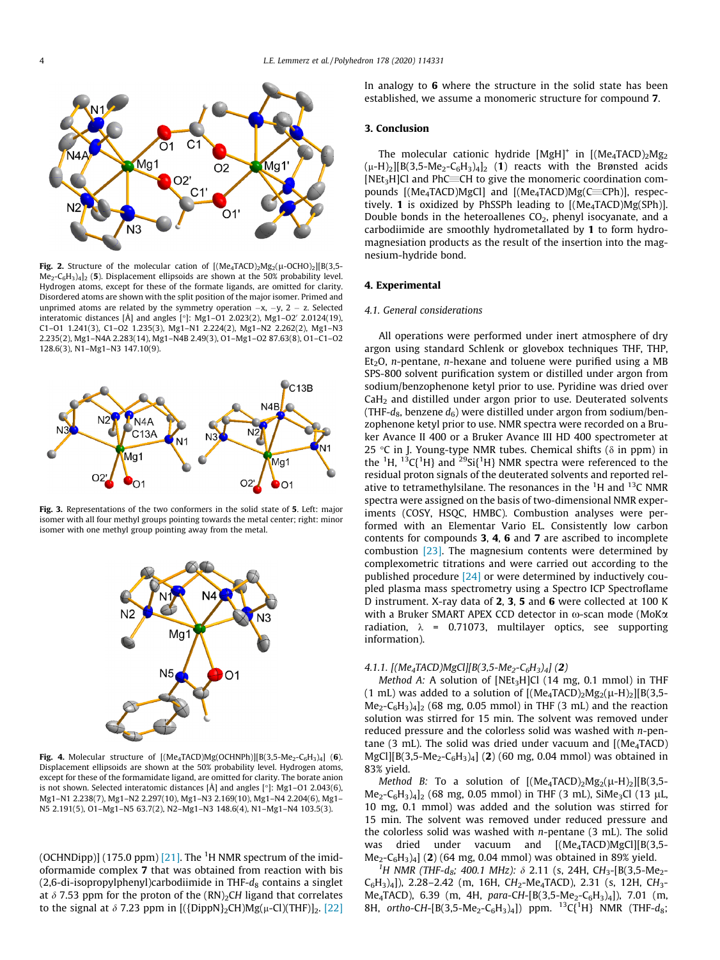<span id="page-3-0"></span>

Fig. 2. Structure of the molecular cation of  $[(Me<sub>4</sub>TACD)<sub>2</sub>Mg<sub>2</sub>(\mu-OCHO)<sub>2</sub>][B(3,5-1)]$  $Me<sub>2</sub>-C<sub>6</sub>H<sub>3</sub>/4$ <sub>2</sub> (5). Displacement ellipsoids are shown at the 50% probability level. Hydrogen atoms, except for these of the formate ligands, are omitted for clarity. Disordered atoms are shown with the split position of the major isomer. Primed and unprimed atoms are related by the symmetry operation  $-x$ ,  $-y$ ,  $2 - z$ . Selected interatomic distances [Å] and angles [°]: Mg1–O1 2.023(2), Mg1–O2' 2.0124(19), C1–O1 1.241(3), C1–O2 1.235(3), Mg1–N1 2.224(2), Mg1–N2 2.262(2), Mg1–N3 2.235(2), Mg1–N4A 2.283(14), Mg1–N4B 2.49(3), O1–Mg1–O2 87.63(8), O1–C1–O2 128.6(3), N1–Mg1–N3 147.10(9).



Fig. 3. Representations of the two conformers in the solid state of 5. Left: major isomer with all four methyl groups pointing towards the metal center; right: minor isomer with one methyl group pointing away from the metal.



Fig. 4. Molecular structure of  $[(Me<sub>4</sub>TACD)Mg(OCHNPh)][B(3,5-Me<sub>2</sub>-C<sub>6</sub>H<sub>3</sub>)<sub>4</sub>]$  (6). Displacement ellipsoids are shown at the 50% probability level. Hydrogen atoms, except for these of the formamidate ligand, are omitted for clarity. The borate anion is not shown. Selected interatomic distances  $[\hat{A}]$  and angles  $[\textdegree]$ : Mg1–O1 2.043(6), Mg1–N1 2.238(7), Mg1–N2 2.297(10), Mg1–N3 2.169(10), Mg1–N4 2.204(6), Mg1– N5 2.191(5), O1–Mg1–N5 63.7(2), N2–Mg1–N3 148.6(4), N1–Mg1–N4 103.5(3).

(OCHNDipp)] (175.0 ppm)  $[21]$ . The  $^1$ H NMR spectrum of the imidoformamide complex 7 that was obtained from reaction with bis  $(2,6-di-isopropylphenyl)$ carbodiimide in THF- $d_8$  contains a singlet at  $\delta$  7.53 ppm for the proton of the (RN)<sub>2</sub>CH ligand that correlates to the signal at  $\delta$  7.23 ppm in  $[(\{DippN\}_2CH)Mg(\mu-Cl)(THF)]_2$ . [\[22\]](#page-5-0) In analogy to 6 where the structure in the solid state has been established, we assume a monomeric structure for compound 7.

## 3. Conclusion

The molecular cationic hydride  $[MgH]^+$  in  $[(Me<sub>4</sub>TACD)<sub>2</sub>Mg<sub>2</sub>]$  $(\mu-H)_2$ [B(3,5-Me<sub>2</sub>-C<sub>6</sub>H<sub>3</sub>)<sub>4</sub>]<sub>2</sub> (1) reacts with the Brønsted acids  $[NEt<sub>3</sub>H]$ Cl and PhC $=$ CH to give the monomeric coordination compounds  $[(Me<sub>4</sub>TACD)MgCl]$  and  $[(Me<sub>4</sub>TACD)Mg(C=CPh)]$ , respectively. 1 is oxidized by PhSSPh leading to  $[(Me<sub>4</sub>TACD)Mg(SPh)]$ . Double bonds in the heteroallenes  $CO<sub>2</sub>$ , phenyl isocyanate, and a carbodiimide are smoothly hydrometallated by 1 to form hydromagnesiation products as the result of the insertion into the magnesium-hydride bond.

#### 4. Experimental

#### 4.1. General considerations

All operations were performed under inert atmosphere of dry argon using standard Schlenk or glovebox techniques THF, THP, Et<sub>2</sub>O, *n*-pentane, *n*-hexane and toluene were purified using a MB SPS-800 solvent purification system or distilled under argon from sodium/benzophenone ketyl prior to use. Pyridine was dried over  $CaH<sub>2</sub>$  and distilled under argon prior to use. Deuterated solvents (THF- $d_8$ , benzene  $d_6$ ) were distilled under argon from sodium/benzophenone ketyl prior to use. NMR spectra were recorded on a Bruker Avance II 400 or a Bruker Avance III HD 400 spectrometer at 25 °C in J. Young-type NMR tubes. Chemical shifts ( $\delta$  in ppm) in the <sup>1</sup>H, <sup>13</sup>C{<sup>1</sup>H} and <sup>29</sup>Si{<sup>1</sup>H} NMR spectra were referenced to the residual proton signals of the deuterated solvents and reported relative to tetramethylsilane. The resonances in the  ${}^{1}$ H and  ${}^{13}$ C NMR spectra were assigned on the basis of two-dimensional NMR experiments (COSY, HSQC, HMBC). Combustion analyses were performed with an Elementar Vario EL. Consistently low carbon contents for compounds 3, 4, 6 and 7 are ascribed to incomplete combustion [\[23\]](#page-5-0). The magnesium contents were determined by complexometric titrations and were carried out according to the published procedure [\[24\]](#page-5-0) or were determined by inductively coupled plasma mass spectrometry using a Spectro ICP Spectroflame D instrument. X-ray data of 2, 3, 5 and 6 were collected at 100 K with a Bruker SMART APEX CCD detector in  $\omega$ -scan mode (MoK $\alpha$ radiation,  $\lambda$  = 0.71073, multilayer optics, see supporting information).

#### 4.1.1.  $[(Me<sub>4</sub>TACD)MgCl][B(3,5-Me<sub>2</sub>-C<sub>6</sub>H<sub>3</sub>)<sub>4</sub>] (2)$

Method A: A solution of [NEt<sub>3</sub>H]Cl (14 mg, 0.1 mmol) in THF (1 mL) was added to a solution of  $[(Me<sub>4</sub>TACD)<sub>2</sub>Mg<sub>2</sub>(\mu-H)<sub>2</sub>][B(3,5-1)]$  $Me<sub>2</sub>-C<sub>6</sub>H<sub>3</sub>)<sub>4</sub>$ ]<sub>2</sub> (68 mg, 0.05 mmol) in THF (3 mL) and the reaction solution was stirred for 15 min. The solvent was removed under reduced pressure and the colorless solid was washed with n-pentane (3 mL). The solid was dried under vacuum and  $[(Me<sub>4</sub>TACD)$  $MgCl[[B(3,5-Me_2-C_6H_3)_4]$  (2) (60 mg, 0.04 mmol) was obtained in 83% yield.

Method B: To a solution of  $[(Me<sub>4</sub>TACD)<sub>2</sub>Mg<sub>2</sub>(\mu-H)<sub>2</sub>][B(3,5 Me_2-C_6H_3)_{4}]_2$  (68 mg, 0.05 mmol) in THF (3 mL), SiMe<sub>3</sub>Cl (13 µL, 10 mg, 0.1 mmol) was added and the solution was stirred for 15 min. The solvent was removed under reduced pressure and the colorless solid was washed with  $n$ -pentane  $(3 \text{ mL})$ . The solid was dried under vacuum and [(Me<sub>4</sub>TACD)MgCl][B(3,5- $Me<sub>2</sub>-C<sub>6</sub>H<sub>3</sub>)<sub>4</sub>$ ] (2) (64 mg, 0.04 mmol) was obtained in 89% yield.

<sup>1</sup>H NMR (THF-d<sub>8</sub>; 400.1 MHz):  $\delta$  2.11 (s, 24H, CH<sub>3</sub>-[B(3,5-Me<sub>2</sub>- $C_6H_3$ <sub>2</sub>, 2.28–2.42 (m, 16H, CH<sub>2</sub>-Me<sub>4</sub>TACD), 2.31 (s, 12H, CH<sub>3</sub>-Me<sub>4</sub>TACD), 6.39 (m, 4H, para-CH-[B(3,5-Me<sub>2</sub>-C<sub>6</sub>H<sub>3</sub>)<sub>4</sub>]), 7.01 (m, 8H, ortho-CH-[B(3,5-Me<sub>2</sub>-C<sub>6</sub>H<sub>3</sub>)<sub>4</sub>]) ppm. <sup>13</sup>C{<sup>1</sup>H} NMR (THF-d<sub>8</sub>;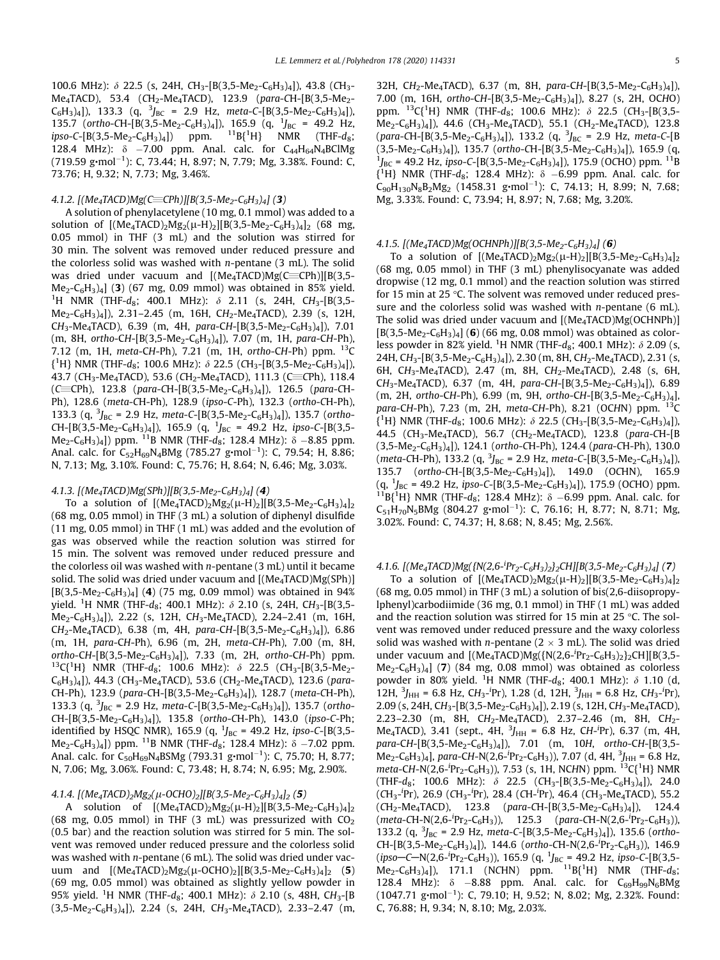100.6 MHz):  $\delta$  22.5 (s, 24H, CH<sub>3</sub>-[B(3,5-Me<sub>2</sub>-C<sub>6</sub>H<sub>3</sub>)<sub>4</sub>]), 43.8 (CH<sub>3</sub>-Me<sub>4</sub>TACD), 53.4 (CH<sub>2</sub>-Me<sub>4</sub>TACD), 123.9 (para-CH-[B(3,5-Me<sub>2</sub>- $(C_6H_3)_4$ ], 133.3 (q,  ${}^3J_{BC}$  = 2.9 Hz, meta-C-[B(3,5-Me<sub>2</sub>-C<sub>6</sub>H<sub>3</sub>)<sub>4</sub>]), 135.7 (ortho-CH-[B(3,5-Me<sub>2</sub>-C<sub>6</sub>H<sub>3</sub>)<sub>4</sub>]), 165.9 (q, <sup>1</sup>J<sub>BC</sub> = 49.2 Hz, ipso-C-[B(3,5-Me<sub>2</sub>-C<sub>6</sub>H<sub>3</sub>)<sub>4</sub>]) ppm.  ${}^{11}B{^1H}$  NMR (THF- $d_8$ ; 128.4 MHz):  $\delta$  -7.00 ppm. Anal. calc. for  $C_{44}H_{64}N_{4}BCIMg$ (719.59 g∙mol<sup>-1</sup>): C, 73.44; H, 8.97; N, 7.79; Mg, 3.38%. Found: C, 73.76; H, 9.32; N, 7.73; Mg, 3.46%.

## 4.1.2.  $[(Me_4TACD)Mg(\text{CECPh})][B(3,5-Me_2-C_6H_3)_4]$  (3)

A solution of phenylacetylene (10 mg, 0.1 mmol) was added to a solution of  $[(Me<sub>4</sub>TACD)<sub>2</sub>Mg<sub>2</sub>(\mu-H)<sub>2</sub>][B(3,5-Me<sub>2</sub>-C<sub>6</sub>H<sub>3</sub>)<sub>4</sub>]<sub>2</sub> (68 mg,$ 0.05 mmol) in THF (3 mL) and the solution was stirred for 30 min. The solvent was removed under reduced pressure and the colorless solid was washed with  $n$ -pentane (3 mL). The solid was dried under vacuum and  $[(Me<sub>4</sub>TACD)Mg(C=Ch)][B(3,5 Me<sub>2</sub>-C<sub>6</sub>H<sub>3</sub>)<sub>4</sub>$ ] (3) (67 mg, 0.09 mmol) was obtained in 85% yield. <sup>1</sup>H NMR (THF-d<sub>8</sub>; 400.1 MHz):  $\delta$  2.11 (s, 24H, CH<sub>3</sub>-[B(3,5- $Me_2-C_6H_3$ <sub>4</sub>]), 2.31-2.45 (m, 16H, CH<sub>2</sub>-Me<sub>4</sub>TACD), 2.39 (s, 12H, CH<sub>3</sub>-Me<sub>4</sub>TACD), 6.39 (m, 4H, para-CH-[B(3,5-Me<sub>2</sub>-C<sub>6</sub>H<sub>3</sub>)<sub>4</sub>]), 7.01 (m, 8H, ortho-CH-[B(3,5-Me<sub>2</sub>-C<sub>6</sub>H<sub>3</sub>)<sub>4</sub>]), 7.07 (m, 1H, para-CH-Ph), 7.12 (m, 1H, meta-CH-Ph), 7.21 (m, 1H, ortho-CH-Ph) ppm.  $^{13}$ C  ${^1}H$ } NMR (THF-d<sub>8</sub>; 100.6 MHz):  $\delta$  22.5 (CH<sub>3</sub>-[B(3,5-Me<sub>2</sub>-C<sub>6</sub>H<sub>3</sub>)<sub>4</sub>]), 43.7 (CH<sub>3</sub>-Me<sub>4</sub>TACD), 53.6 (CH<sub>2</sub>-Me<sub>4</sub>TACD), 111.3 (C=CPh), 118.4 (C=CPh), 123.8 (para-CH-[B(3,5-Me<sub>2</sub>-C<sub>6</sub>H<sub>3</sub>)<sub>4</sub>]), 126.5 (para-CH-Ph), 128.6 (meta-CH-Ph), 128.9 (ipso-C-Ph), 132.3 (ortho-CH-Ph), 133.3 (q,  ${}^{3}J_{BC}$  = 2.9 Hz, meta-C-[B(3,5-Me<sub>2</sub>-C<sub>6</sub>H<sub>3</sub>)<sub>4</sub>]), 135.7 (ortho- $CH-[B(3,5-Me_2-C_6H_3)_4])$ , 165.9 (q,  $^{1}J_{BC}$  = 49.2 Hz, ipso-C-[B(3,5-Me<sub>2</sub>-C<sub>6</sub>H<sub>3</sub>)<sub>4</sub>]) ppm. <sup>11</sup>B NMR (THF-d<sub>8</sub>; 128.4 MHz):  $\delta$  -8.85 ppm. Anal. calc. for  $\mathsf{C}_{52}\mathsf{H}_{69}\mathsf{N}_4\mathsf{BM}$ g (785.27 g•mol $^{-1}$ ): C, 79.54; H, 8.86; N, 7.13; Mg, 3.10%. Found: C, 75.76; H, 8.64; N, 6.46; Mg, 3.03%.

# 4.1.3.  $[(Me<sub>4</sub>TACD)Mg(SPh)][B(3,5-Me<sub>2</sub>-C<sub>6</sub>H<sub>3</sub>)<sub>4</sub>]$  (4)

To a solution of  $[(Me<sub>4</sub>TACD)<sub>2</sub>Mg<sub>2</sub>(\mu-H)<sub>2</sub>][B(3,5-Me<sub>2</sub>-C<sub>6</sub>H<sub>3</sub>)<sub>4</sub>]<sub>2</sub>$ (68 mg, 0.05 mmol) in THF (3 mL) a solution of diphenyl disulfide (11 mg, 0.05 mmol) in THF (1 mL) was added and the evolution of gas was observed while the reaction solution was stirred for 15 min. The solvent was removed under reduced pressure and the colorless oil was washed with  $n$ -pentane (3 mL) until it became solid. The solid was dried under vacuum and  $[(Me<sub>4</sub>TACD)Mg(SPh)]$  $[B(3,5-Me_2-C_6H_3)_4]$  (4) (75 mg, 0.09 mmol) was obtained in 94% yield. <sup>1</sup>H NMR (THF-d<sub>8</sub>; 400.1 MHz):  $\delta$  2.10 (s, 24H, CH<sub>3</sub>-[B(3,5-Me2-C6H3)4]), 2.22 (s, 12H, CH3-Me4TACD), 2.24–2.41 (m, 16H,  $CH_2$ -Me<sub>4</sub>TACD), 6.38 (m, 4H, para-CH-[B(3,5-Me<sub>2</sub>-C<sub>6</sub>H<sub>3</sub>)<sub>4</sub>]), 6.86 (m, 1H, para-CH-Ph), 6.96 (m, 2H, meta-CH-Ph), 7.00 (m, 8H, ortho-CH-[B(3,5-Me<sub>2</sub>-C<sub>6</sub>H<sub>3</sub>)4]), 7.33 (m, 2H, ortho-CH-Ph) ppm.<br><sup>13</sup>C{<sup>1</sup>H} NMR (THF-d<sub>8</sub>; 100.6 MHz): *δ* 22.5 (CH<sub>3</sub>-[B(3,5-Me<sub>2</sub>- $C_6H_3$ <sub>4</sub>]), 44.3 (CH<sub>3</sub>-Me<sub>4</sub>TACD), 53.6 (CH<sub>2</sub>-Me<sub>4</sub>TACD), 123.6 (para-CH-Ph), 123.9 (para-CH-[B(3,5-Me<sub>2</sub>-C<sub>6</sub>H<sub>3</sub>)<sub>4</sub>]), 128.7 (meta-CH-Ph), 133.3 (q,  ${}^{3}J_{BC}$  = 2.9 Hz, meta-C-[B(3,5-Me<sub>2</sub>-C<sub>6</sub>H<sub>3</sub>)<sub>4</sub>]), 135.7 (ortho- $CH-[B(3,5-Me_2-C_6H_3)_4])$ , 135.8 (ortho-CH-Ph), 143.0 (ipso-C-Ph; identified by HSQC NMR), 165.9 (q,  $^{1}J_{BC}$  = 49.2 Hz, ipso-C-[B(3,5-Me<sub>2</sub>-C<sub>6</sub>H<sub>3</sub>)<sub>4</sub>]) ppm. <sup>11</sup>B NMR (THF-d<sub>8</sub>; 128.4 MHz):  $\delta$  -7.02 ppm. Anal. calc. for C<sub>50</sub>H<sub>69</sub>N<sub>4</sub>BSMg (793.31 g∙mol<sup>-1</sup>): C, 75.70; H, 8.77; N, 7.06; Mg, 3.06%. Found: C, 73.48; H, 8.74; N, 6.95; Mg, 2.90%.

## 4.1.4.  $[(Me<sub>4</sub>TACD)<sub>2</sub>Mg<sub>2</sub>(\mu-OCHO)<sub>2</sub>][B(3,5-Me<sub>2</sub>-C<sub>6</sub>H<sub>3</sub>)<sub>4</sub>]<sub>2</sub>(5)$

A solution of  $[(Me<sub>4</sub>TACD)<sub>2</sub>Mg<sub>2</sub>(\mu-H)<sub>2</sub>][B(3,5-Me<sub>2</sub>-C<sub>6</sub>H<sub>3</sub>)<sub>4</sub>]<sub>2</sub>$ (68 mg, 0.05 mmol) in THF (3 mL) was pressurized with  $CO<sub>2</sub>$ (0.5 bar) and the reaction solution was stirred for 5 min. The solvent was removed under reduced pressure and the colorless solid was washed with n-pentane (6 mL). The solid was dried under vacuum and  $[(Me<sub>4</sub>TACD)<sub>2</sub>Mg<sub>2</sub>(\mu-OCHO)<sub>2</sub>][B(3,5-Me<sub>2</sub>-C<sub>6</sub>H<sub>3</sub>)<sub>4</sub>]<sub>2</sub> (5)$ (69 mg, 0.05 mmol) was obtained as slightly yellow powder in 95% yield. <sup>1</sup>H NMR (THF-d<sub>8</sub>; 400.1 MHz):  $\delta$  2.10 (s, 48H, CH<sub>3</sub>-[B  $(3,5-Me_2-C_6H_3)_4$ ], 2.24 (s, 24H, CH<sub>3</sub>-Me<sub>4</sub>TACD), 2.33–2.47 (m, 32H, CH<sub>2</sub>-Me<sub>4</sub>TACD), 6.37 (m, 8H, para-CH-[B(3,5-Me<sub>2</sub>-C<sub>6</sub>H<sub>3</sub>)<sub>4</sub>]), 7.00 (m, 16H, ortho-CH-[B(3,5-Me<sub>2</sub>-C<sub>6</sub>H<sub>3</sub>)<sub>4</sub>]), 8.27 (s, 2H, OCHO) ppm.  ${}^{13}C(^{1}H)$  NMR (THF-d<sub>8</sub>; 100.6 MHz):  $\delta$  22.5 (CH<sub>3</sub>-[B(3,5- $Me<sub>2</sub>-C<sub>6</sub>H<sub>3</sub>)<sub>4</sub>$ ]), 44.6 (CH<sub>3</sub>-Me<sub>4</sub>TACD), 55.1 (CH<sub>2</sub>-Me<sub>4</sub>TACD), 123.8 (para-CH-[B(3,5-Me<sub>2</sub>-C<sub>6</sub>H<sub>3</sub>)<sub>4</sub>]), 133.2 (q, <sup>3</sup>J<sub>BC</sub> = 2.9 Hz, meta-C-[B  $(3,5-Me_2-C_6H_3)_4]$ ), 135.7 (ortho-CH-[B(3,5-Me<sub>2</sub>-C<sub>6</sub>H<sub>3</sub>)<sub>4</sub>]), 165.9 (q,  $^{1}J_{BC}$  = 49.2 Hz, ipso-C-[B(3,5-Me<sub>2</sub>-C<sub>6</sub>H<sub>3</sub>)<sub>4</sub>]), 175.9 (OCHO) ppm. <sup>11</sup>B  ${^1}H$  NMR (THF- $d_8$ ; 128.4 MHz):  $\delta$  -6.99 ppm. Anal. calc. for  $C_{90}H_{130}N_8B_2Mg_2$  (1458.31 g•mol<sup>-1</sup>): C, 74.13; H, 8.99; N, 7.68; Mg, 3.33%. Found: C, 73.94; H, 8.97; N, 7.68; Mg, 3.20%.

## 4.1.5.  $[(Me<sub>4</sub>TACD)Mg(OCHNPh)][B(3,5-Me<sub>2</sub>-C<sub>6</sub>H<sub>3</sub>)<sub>4</sub>] (6)$

To a solution of  $[(Me<sub>4</sub>TACD)<sub>2</sub>Mg<sub>2</sub>(\mu-H)<sub>2</sub>][B(3,5-Me<sub>2</sub>-C<sub>6</sub>H<sub>3</sub>)<sub>4</sub>]<sub>2</sub>$ (68 mg, 0.05 mmol) in THF (3 mL) phenylisocyanate was added dropwise (12 mg, 0.1 mmol) and the reaction solution was stirred for 15 min at 25  $\degree$ C. The solvent was removed under reduced pressure and the colorless solid was washed with  $n$ -pentane (6 mL). The solid was dried under vacuum and  $[(Me<sub>4</sub>TACD)Mg(OCHNPh)]$  $[B(3,5-Me_2-C_6H_3)_4]$  (6) (66 mg, 0.08 mmol) was obtained as colorless powder in 82% yield.  $^1$ H NMR (THF- $d_8$ ; 400.1 MHz):  $\delta$  2.09 (s, 24H, CH<sub>3</sub>-[B(3,5-Me<sub>2</sub>-C<sub>6</sub>H<sub>3</sub>)<sub>4</sub>]), 2.30 (m, 8H, CH<sub>2</sub>-Me<sub>4</sub>TACD), 2.31 (s, 6H, CH<sub>3</sub>-Me<sub>4</sub>TACD), 2.47 (m, 8H, CH<sub>2</sub>-Me<sub>4</sub>TACD), 2.48 (s, 6H,  $CH_3-Me_4TACD$ ), 6.37 (m, 4H, para-CH-[B(3,5-Me<sub>2</sub>-C<sub>6</sub>H<sub>3</sub>)<sub>4</sub>]), 6.89 (m, 2H, ortho-CH-Ph), 6.99 (m, 9H, ortho-CH-[B(3,5-Me<sub>2</sub>-C<sub>6</sub>H<sub>3</sub>)<sub>4</sub>], para-CH-Ph), 7.23 (m, 2H, meta-CH-Ph), 8.21 (OCHN) ppm. <sup>13</sup>C  ${^1}H$ } NMR (THF-d<sub>8</sub>; 100.6 MHz):  $\delta$  22.5 (CH<sub>3</sub>-[B(3,5-Me<sub>2</sub>-C<sub>6</sub>H<sub>3</sub>)<sub>4</sub>]), 44.5 (CH<sub>3</sub>-Me<sub>4</sub>TACD), 56.7 (CH<sub>2</sub>-Me<sub>4</sub>TACD), 123.8 (para-CH-[B  $(3,5-Me<sub>2</sub>-C<sub>6</sub>H<sub>3</sub>)<sub>4</sub>]$ , 124.1 (ortho-CH-Ph), 124.4 (para-CH-Ph), 130.0 (meta-CH-Ph), 133.2 (q,  ${}^{3}J_{BC}$  = 2.9 Hz, meta-C-[B(3,5-Me<sub>2</sub>-C<sub>6</sub>H<sub>3</sub>)<sub>4</sub>]), 135.7 (ortho-CH-[B(3,5-Me<sub>2</sub>-C<sub>6</sub>H<sub>3</sub>)<sub>4</sub>]), 149.0 (OCHN), 165.9  $(q, {}^{1}J_{BC} = 49.2$  Hz, ipso-C-[B(3,5-Me<sub>2</sub>-C<sub>6</sub>H<sub>3</sub>)<sub>4</sub>]), 175.9 (OCHO) ppm. (q, <sup>1</sup>J<sub>BC</sub> = 49.2 Hz, ipso-C-[B(3,5-Me<sub>2</sub>-C<sub>6</sub>H<sub>3</sub>)<sub>4</sub>]), 175.9 (OCHO) ppm.<br><sup>11</sup>B{<sup>1</sup>H} NMR (THF-d<sub>8</sub>; 128.4 MHz):  $\delta$  –6.99 ppm. Anal. calc. for  $C_{51}H_{70}N_5BMg$  (804.27 g⋅mol<sup>-1</sup>): C, 76.16; H, 8.77; N, 8.71; Mg, 3.02%. Found: C, 74.37; H, 8.68; N, 8.45; Mg, 2.56%.

# 4.1.6. [(Me<sub>4</sub>TACD)Mg({N(2,6-<sup>i</sup>Pr<sub>2</sub>-C<sub>6</sub>H<sub>3</sub>)<sub>2</sub>}<sub>2</sub>CH][B(3,5-Me<sub>2</sub>-C<sub>6</sub>H<sub>3</sub>)<sub>4</sub>] (**7**)

To a solution of  $[(Me<sub>4</sub>TACD)<sub>2</sub>Mg<sub>2</sub>(\mu-H)<sub>2</sub>][B(3,5-Me<sub>2</sub>-C<sub>6</sub>H<sub>3</sub>)<sub>4</sub>]<sub>2</sub>$ (68 mg, 0.05 mmol) in THF (3 mL) a solution of bis(2,6-diisopropylphenyl)carbodiimide (36 mg, 0.1 mmol) in THF (1 mL) was added and the reaction solution was stirred for 15 min at 25  $\degree$ C. The solvent was removed under reduced pressure and the waxy colorless solid was washed with *n*-pentane ( $2 \times 3$  mL). The solid was dried under vacuum and  $[(Me<sub>4</sub>TACD)Mg({N(2,6<sup>-1</sup>Pr<sub>2</sub>-C<sub>6</sub>H<sub>3</sub>)}<sub>2</sub>]cH][B(3,5 Me<sub>2</sub>-C<sub>6</sub>H<sub>3</sub>)<sub>4</sub>$  (7) (84 mg, 0.08 mmol) was obtained as colorless powder in 80% yield. <sup>1</sup>H NMR (THF- $d_8$ ; 400.1 MHz):  $\delta$  1.10 (d, 12H,  $^{3}$ J<sub>HH</sub> = 6.8 Hz, CH<sub>3</sub>-<sup>i</sup>Pr), 1.28 (d, 12H,  $^{3}$ J<sub>HH</sub> = 6.8 Hz, CH<sub>3</sub>-<sup>i</sup>Pr), 2.09 (s, 24H, CH<sub>3</sub>-[B(3,5-Me<sub>2</sub>-C<sub>6</sub>H<sub>3</sub>)<sub>4</sub>]), 2.19 (s, 12H, CH<sub>3</sub>-Me<sub>4</sub>TACD), 2.23–2.30 (m, 8H, CH<sub>2</sub>-Me<sub>4</sub>TACD), 2.37–2.46 (m, 8H, CH<sub>2</sub>-Me<sub>4</sub>TACD), 3.41 (sept., 4H,  $^{3}$ J<sub>HH</sub> = 6.8 Hz, CH-<sup>i</sup>Pr), 6.37 (m, 4H, para-CH-[B(3,5-Me<sub>2</sub>-C<sub>6</sub>H<sub>3</sub>)<sub>4</sub>]), 7.01 (m, 10H, ortho-CH-[B(3,5- $Me<sub>2</sub>-C<sub>6</sub>H<sub>3</sub>)<sub>4</sub>$ , para-CH-N(2,6-<sup>i</sup>Pr<sub>2</sub>-C<sub>6</sub>H<sub>3</sub>)), 7.07 (d, 4H, <sup>3</sup>J<sub>HH</sub> = 6.8 Hz, meta-CH-N(2,6-<sup>i</sup>Pr<sub>2</sub>-C<sub>6</sub>H<sub>3</sub>)), 7.53 (s, 1H, NCHN) ppm. <sup>13</sup>C{<sup>1</sup>H} NMR (THF-d<sub>8</sub>; 100.6 MHz):  $\delta$  22.5 (CH<sub>3</sub>-[B(3,5-Me<sub>2</sub>-C<sub>6</sub>H<sub>3</sub>)<sub>4</sub>]), 24.0 (CH<sub>3</sub>-<sup>i</sup>Pr), 26.9 (CH<sub>3</sub>-<sup>i</sup>Pr), 28.4 (CH-<sup>i</sup>Pr), 46.4 (CH<sub>3</sub>-Me<sub>4</sub>TACD), 55.2  $(CH_2-Me_4TACD)$ , 123.8 (para-CH-[B(3,5-Me<sub>2</sub>-C<sub>6</sub>H<sub>3</sub>)<sub>4</sub>]), 124.4  $(meta\text{-}CH\text{-}N(2,6\text{-}{}^{i}Pr_2\text{-}C_6H_3))$ , 125.3  $(para\text{-}CH\text{-}N(2,6\text{-}{}^{i}Pr_2\text{-}C_6H_3))$ 133.2 (q,  ${}^{3}J_{BC}$  = 2.9 Hz, meta-C-[B(3,5-Me<sub>2</sub>-C<sub>6</sub>H<sub>3</sub>)<sub>4</sub>]), 135.6 (ortho- $CH-[B(3,5-Me_2-C_6H_3)_4])$ , 144.6 (ortho-CH-N(2,6-<sup>i</sup>Pr<sub>2</sub>-C<sub>6</sub>H<sub>3</sub>)), 146.9 (ipso–C–N(2,6-<sup>i</sup>Pr<sub>2</sub>-C<sub>6</sub>H<sub>3</sub>)), 165.9 (q, <sup>1</sup>J<sub>BC</sub> = 49.2 Hz, ipso-C-[B(3,5- $Me_2-C_6H_3$ <sub>/4</sub>]), 171.1 (NCHN) ppm. <sup>11</sup>B{<sup>1</sup>H} NMR (THF-d<sub>8</sub>; 128.4 MHz):  $\delta$  -8.88 ppm. Anal. calc. for C<sub>69</sub>H<sub>99</sub>N<sub>6</sub>BMg  $(1047.71 \text{ g} \cdot \text{mol}^{-1})$ : C, 79.10; H, 9.52; N, 8.02; Mg, 2.32%. Found: C, 76.88; H, 9.34; N, 8.10; Mg, 2.03%.